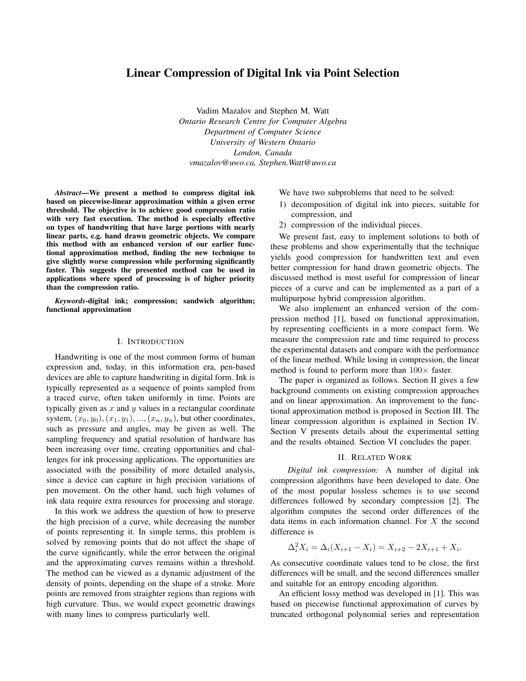# Linear Compression of Digital Ink via Point Selection

Vadim Mazalov and Stephen M. Watt *Ontario Research Centre for Computer Algebra Department of Computer Science University of Western Ontario London, Canada vmazalov@uwo.ca, Stephen.Watt@uwo.ca*

*Abstract*—We present a method to compress digital ink based on piecewise-linear approximation within a given error threshold. The objective is to achieve good compression ratio with very fast execution. The method is especially effective on types of handwriting that have large portions with nearly linear parts, e.g. hand drawn geometric objects. We compare this method with an enhanced version of our earlier functional approximation method, finding the new technique to give slightly worse compression while performing significantly faster. This suggests the presented method can be used in applications where speed of processing is of higher priority than the compression ratio.

*Keywords*-digital ink; compression; sandwich algorithm; functional approximation

## I. INTRODUCTION

Handwriting is one of the most common forms of human expression and, today, in this information era, pen-based devices are able to capture handwriting in digital form. Ink is typically represented as a sequence of points sampled from a traced curve, often taken uniformly in time. Points are typically given as  $x$  and  $y$  values in a rectangular coordinate system,  $(x_0, y_0), (x_1, y_1), ..., (x_n, y_n)$ , but other coordinates, such as pressure and angles, may be given as well. The sampling frequency and spatial resolution of hardware has been increasing over time, creating opportunities and challenges for ink processing applications. The opportunities are associated with the possibility of more detailed analysis, since a device can capture in high precision variations of pen movement. On the other hand, such high volumes of ink data require extra resources for processing and storage.

In this work we address the question of how to preserve the high precision of a curve, while decreasing the number of points representing it. In simple terms, this problem is solved by removing points that do not affect the shape of the curve significantly, while the error between the original and the approximating curves remains within a threshold. The method can be viewed as a dynamic adjustment of the density of points, depending on the shape of a stroke. More points are removed from straighter regions than regions with high curvature. Thus, we would expect geometric drawings with many lines to compress particularly well.

We have two subproblems that need to be solved:

- 1) decomposition of digital ink into pieces, suitable for compression, and
- 2) compression of the individual pieces.

We present fast, easy to implement solutions to both of these problems and show experimentally that the technique yields good compression for handwritten text and even better compression for hand drawn geometric objects. The discussed method is most useful for compression of linear pieces of a curve and can be implemented as a part of a multipurpose hybrid compression algorithm.

We also implement an enhanced version of the compression method [1], based on functional approximation, by representing coefficients in a more compact form. We measure the compression rate and time required to process the experimental datasets and compare with the performance of the linear method. While losing in compression, the linear method is found to perform more than  $100 \times$  faster.

The paper is organized as follows. Section II gives a few background comments on existing compression approaches and on linear approximation. An improvement to the functional approximation method is proposed in Section III. The linear compression algorithm is explained in Section IV. Section V presents details about the experimental setting and the results obtained. Section VI concludes the paper.

#### II. RELATED WORK

*Digital ink compression:* A number of digital ink compression algorithms have been developed to date. One of the most popular lossless schemes is to use second differences followed by secondary compression [2]. The algorithm computes the second order differences of the data items in each information channel. For X the second difference is

$$
\Delta_i^2 X_i = \Delta_i (X_{i+1} - X_i) = X_{i+2} - 2X_{i+1} + X_i.
$$

As consecutive coordinate values tend to be close, the first differences will be small, and the second differences smaller and suitable for an entropy encoding algorithm.

An efficient lossy method was developed in [1]. This was based on piecewise functional approximation of curves by truncated orthogonal polynomial series and representation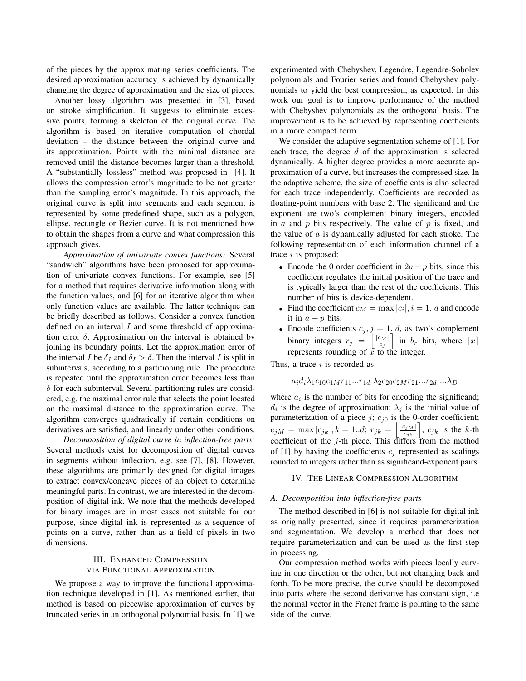of the pieces by the approximating series coefficients. The desired approximation accuracy is achieved by dynamically changing the degree of approximation and the size of pieces.

Another lossy algorithm was presented in [3], based on stroke simplification. It suggests to eliminate excessive points, forming a skeleton of the original curve. The algorithm is based on iterative computation of chordal deviation – the distance between the original curve and its approximation. Points with the minimal distance are removed until the distance becomes larger than a threshold. A "substantially lossless" method was proposed in [4]. It allows the compression error's magnitude to be not greater than the sampling error's magnitude. In this approach, the original curve is split into segments and each segment is represented by some predefined shape, such as a polygon, ellipse, rectangle or Bezier curve. It is not mentioned how to obtain the shapes from a curve and what compression this approach gives.

*Approximation of univariate convex functions:* Several "sandwich" algorithms have been proposed for approximation of univariate convex functions. For example, see [5] for a method that requires derivative information along with the function values, and [6] for an iterative algorithm when only function values are available. The latter technique can be briefly described as follows. Consider a convex function defined on an interval  $I$  and some threshold of approximation error  $\delta$ . Approximation on the interval is obtained by joining its boundary points. Let the approximation error of the interval I be  $\delta_I$  and  $\delta_I > \delta$ . Then the interval I is split in subintervals, according to a partitioning rule. The procedure is repeated until the approximation error becomes less than  $\delta$  for each subinterval. Several partitioning rules are considered, e.g. the maximal error rule that selects the point located on the maximal distance to the approximation curve. The algorithm converges quadratically if certain conditions on derivatives are satisfied, and linearly under other conditions.

*Decomposition of digital curve in inflection-free parts:* Several methods exist for decomposition of digital curves in segments without inflection, e.g. see [7], [8]. However, these algorithms are primarily designed for digital images to extract convex/concave pieces of an object to determine meaningful parts. In contrast, we are interested in the decomposition of digital ink. We note that the methods developed for binary images are in most cases not suitable for our purpose, since digital ink is represented as a sequence of points on a curve, rather than as a field of pixels in two dimensions.

# III. ENHANCED COMPRESSION VIA FUNCTIONAL APPROXIMATION

We propose a way to improve the functional approximation technique developed in [1]. As mentioned earlier, that method is based on piecewise approximation of curves by truncated series in an orthogonal polynomial basis. In [1] we experimented with Chebyshev, Legendre, Legendre-Sobolev polynomials and Fourier series and found Chebyshev polynomials to yield the best compression, as expected. In this work our goal is to improve performance of the method with Chebyshev polynomials as the orthogonal basis. The improvement is to be achieved by representing coefficients in a more compact form.

We consider the adaptive segmentation scheme of [1]. For each trace, the degree  $d$  of the approximation is selected dynamically. A higher degree provides a more accurate approximation of a curve, but increases the compressed size. In the adaptive scheme, the size of coefficients is also selected for each trace independently. Coefficients are recorded as floating-point numbers with base 2. The significand and the exponent are two's complement binary integers, encoded in  $\alpha$  and  $\beta$  bits respectively. The value of  $\beta$  is fixed, and the value of  $\alpha$  is dynamically adjusted for each stroke. The following representation of each information channel of a trace  $i$  is proposed:

- Encode the 0 order coefficient in  $2a + p$  bits, since this coefficient regulates the initial position of the trace and is typically larger than the rest of the coefficients. This number of bits is device-dependent.
- Find the coefficient  $c_M = \max |c_i|, i = 1..d$  and encode it in  $a + p$  bits.
- Encode coefficients  $c_j$ ,  $j = 1..d$ , as two's complement binary integers  $r_j = |\frac{|c_M|}{c}$  $\left[\frac{x_M}{c_j}\right]$  in  $b_r$  bits, where  $\lfloor x \rceil$ represents rounding of  $\bar{x}$  to the integer.

Thus, a trace  $i$  is recorded as

$$
a_i d_i \lambda_1 c_{10} c_{1M} r_{11} ... r_{1d_i} \lambda_2 c_{20} c_{2M} r_{21} ... r_{2d_i} ... \lambda_D
$$

where  $a_i$  is the number of bits for encoding the significand;  $d_i$  is the degree of approximation;  $\lambda_j$  is the initial value of parameterization of a piece  $j$ ;  $c_{j0}$  is the 0-order coefficient;  $c_{jM} = \max |c_{jk}|, k = 1..d; r_{jk} = \left\lfloor \frac{|c_{jM}|}{c_{jk}} \right\rfloor, c_{jk}$  is the k-th coefficient of the  $j$ -th piece. This differs from the method of [1] by having the coefficients  $c_i$  represented as scalings rounded to integers rather than as significand-exponent pairs.

# IV. THE LINEAR COMPRESSION ALGORITHM

## *A. Decomposition into inflection-free parts*

The method described in [6] is not suitable for digital ink as originally presented, since it requires parameterization and segmentation. We develop a method that does not require parameterization and can be used as the first step in processing.

Our compression method works with pieces locally curving in one direction or the other, but not changing back and forth. To be more precise, the curve should be decomposed into parts where the second derivative has constant sign, i.e the normal vector in the Frenet frame is pointing to the same side of the curve.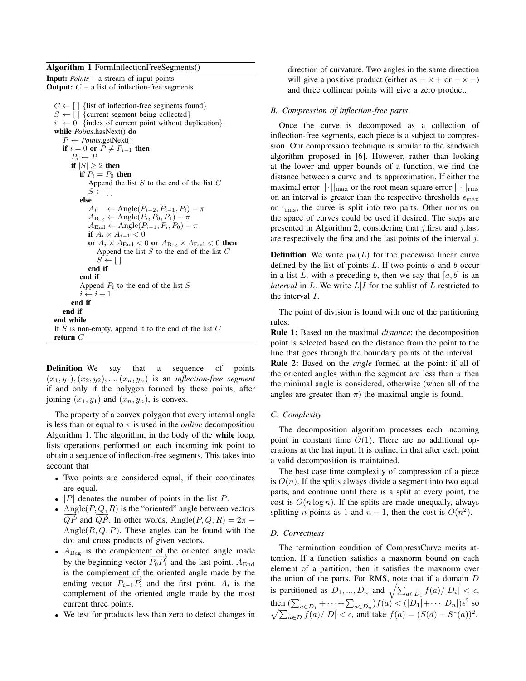| <b>Algorithm 1</b> FormInflectionFreeSegments( |  |  |  |  |  |
|------------------------------------------------|--|--|--|--|--|
|------------------------------------------------|--|--|--|--|--|

Algorithm 1 FormInflectionFreeSegments() Input: *Points* – a stream of input points **Output:**  $C$  – a list of inflection-free segments  $C \leftarrow \lceil \cdot \rceil$  {list of inflection-free segments found}  $S \leftarrow \lceil \cdot \rceil$  {current segment being collected}  $i \leftarrow 0$  {index of current point without duplication} while *Points*.hasNext() do  $P \leftarrow Points.getNext()$ if  $i = 0$  or  $\tilde{P} \neq P_{i-1}$  then  $P_i \leftarrow P$ if  $|S| \geq 2$  then if  $P_i = P_0$  then Append the list  $S$  to the end of the list  $C$  $S \leftarrow [$ else  $A_i \leftarrow \text{Angle}(P_{i-2}, P_{i-1}, P_i) - \pi$  $A_{\text{Beg}} \leftarrow \text{Angle}(P_i, P_0, P_1) - \pi$  $A_{\text{End}} \leftarrow \text{Angle}(P_{i-1}, P_i, P_0) - \pi$ if  $A_i \times A_{i-1} < 0$ or  $A_i \times A_{\text{End}} < 0$  or  $A_{\text{Beg}} \times A_{\text{End}} < 0$  then Append the list  $S$  to the end of the list  $C$  $S \leftarrow [$ end if end if Append  $P_i$  to the end of the list  $S$  $i \leftarrow i + 1$ end if end if end while If  $S$  is non-empty, append it to the end of the list  $C$ return C

**Definition** We say that a sequence of points  $(x_1, y_1), (x_2, y_2), ..., (x_n, y_n)$  is an *inflection-free segment* if and only if the polygon formed by these points, after joining  $(x_1, y_1)$  and  $(x_n, y_n)$ , is convex.

The property of a convex polygon that every internal angle is less than or equal to  $\pi$  is used in the *online* decomposition Algorithm 1. The algorithm, in the body of the while loop, lists operations performed on each incoming ink point to obtain a sequence of inflection-free segments. This takes into account that

- Two points are considered equal, if their coordinates are equal.
- $|P|$  denotes the number of points in the list P.
- Angle $(P, Q, R)$  is the "oriented" angle between vectors  $\frac{\text{Argic}}{QP}$  and  $\overline{QR}$ . In other words, Angle(P, Q, R) = 2π – Angle $(R, Q, P)$ . These angles can be found with the dot and cross products of given vectors.
- $A_{\text{Beg}}$  is the complement of the oriented angle made by the beginning vector  $\overline{P_0P_1}$  and the last point.  $A_{\text{End}}$ is the complement of the oriented angle made by the ending vector  $\overline{P_{i-1}P_i}$  and the first point.  $A_i$  is the complement of the oriented angle made by the most current three points.
- We test for products less than zero to detect changes in

direction of curvature. Two angles in the same direction will give a positive product (either as  $+ \times +$  or  $- \times -$ ) and three collinear points will give a zero product.

#### *B. Compression of inflection-free parts*

Once the curve is decomposed as a collection of inflection-free segments, each piece is a subject to compression. Our compression technique is similar to the sandwich algorithm proposed in [6]. However, rather than looking at the lower and upper bounds of a function, we find the distance between a curve and its approximation. If either the maximal error  $||\cdot||_{\text{max}}$  or the root mean square error  $||\cdot||_{\text{rms}}$ on an interval is greater than the respective thresholds  $\epsilon_{\text{max}}$ or  $\epsilon_{\rm rms}$ , the curve is split into two parts. Other norms on the space of curves could be used if desired. The steps are presented in Algorithm 2, considering that  $i$  first and  $i$  last are respectively the first and the last points of the interval  $i$ .

**Definition** We write  $pw(L)$  for the piecewise linear curve defined by the list of points  $L$ . If two points  $a$  and  $b$  occur in a list L, with a preceding b, then we say that  $[a, b]$  is an *interval* in L. We write L|I for the sublist of L restricted to the interval I.

The point of division is found with one of the partitioning rules:

Rule 1: Based on the maximal *distance*: the decomposition point is selected based on the distance from the point to the line that goes through the boundary points of the interval. Rule 2: Based on the *angle* formed at the point: if all of the oriented angles within the segment are less than  $\pi$  then the minimal angle is considered, otherwise (when all of the angles are greater than  $\pi$ ) the maximal angle is found.

# *C. Complexity*

The decomposition algorithm processes each incoming point in constant time  $O(1)$ . There are no additional operations at the last input. It is online, in that after each point a valid decomposition is maintained.

The best case time complexity of compression of a piece is  $O(n)$ . If the splits always divide a segment into two equal parts, and continue until there is a split at every point, the cost is  $O(n \log n)$ . If the splits are made unequally, always splitting *n* points as 1 and  $n - 1$ , then the cost is  $O(n^2)$ .

## *D. Correctness*

The termination condition of CompressCurve merits attention. If a function satisfies a maxnorm bound on each element of a partition, then it satisfies the maxnorm over the union of the parts. For RMS, note that if a domain  $D$ is partitioned as  $D_1, ..., D_n$  and  $\sqrt{\sum_{a \in D_i} f(a)/|D_i|} < \epsilon$ , then  $\left(\sum_{a\in D_1} + \cdots + \sum_{a\in D_n}\right) f(a) < (|D_1| + \cdots + |D_n|)\epsilon^2$  so  $\sqrt{\sum_{a \in D} f(a)/|D|} < \epsilon$ , and take  $f(a) = (S(a) - S^*(a))^2$ .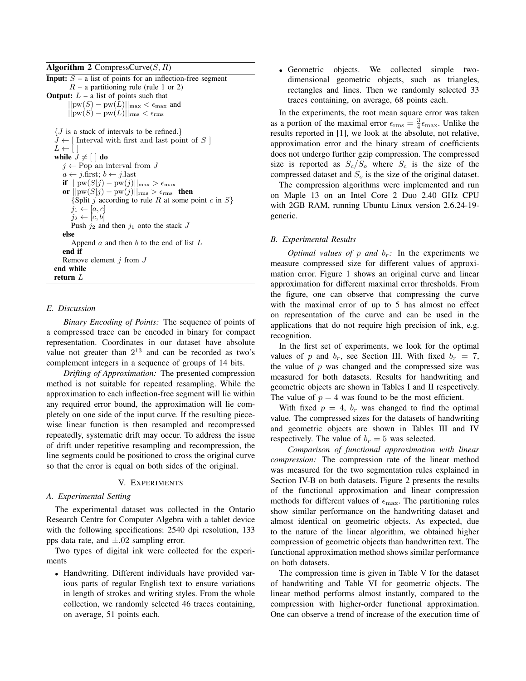Algorithm 2 CompressCurve $(S, R)$ 

**Input:**  $S$  – a list of points for an inflection-free segment  $R$  – a partitioning rule (rule 1 or 2) **Output:**  $L - a$  list of points such that  $||\text{pw}(S) - \text{pw}(L)||_{\text{max}} < \epsilon_{\text{max}}$  and  $||pw(S) - pw(L)||_{\text{rms}} < \epsilon_{\text{rms}}$  ${J}$  is a stack of intervals to be refined.}  $J \leftarrow$  [ Interval with first and last point of S ]  $L \leftarrow \lceil \cdot \rceil$ while  $J\neq [$   $]$  do  $j \leftarrow$  Pop an interval from J  $a \leftarrow j$ .first;  $b \leftarrow j$ .last if  $||pw(S|j) - pw(j)||_{max} > \epsilon_{max}$ or  $||pw(S|j) - pw(j)||_{\text{rms}} > \epsilon_{\text{rms}}$  then {Split j according to rule R at some point c in  $S$ }  $j_1 \leftarrow [a, c]$  $j_2 \leftarrow [c, b]$ Push  $j_2$  and then  $j_1$  onto the stack J else Append  $a$  and then  $b$  to the end of list  $L$ end if Remove element  $j$  from  $J$ end while return L

# *E. Discussion*

*Binary Encoding of Points:* The sequence of points of a compressed trace can be encoded in binary for compact representation. Coordinates in our dataset have absolute value not greater than  $2^{13}$  and can be recorded as two's complement integers in a sequence of groups of 14 bits.

*Drifting of Approximation:* The presented compression method is not suitable for repeated resampling. While the approximation to each inflection-free segment will lie within any required error bound, the approximation will lie completely on one side of the input curve. If the resulting piecewise linear function is then resampled and recompressed repeatedly, systematic drift may occur. To address the issue of drift under repetitive resampling and recompression, the line segments could be positioned to cross the original curve so that the error is equal on both sides of the original.

#### V. EXPERIMENTS

# *A. Experimental Setting*

The experimental dataset was collected in the Ontario Research Centre for Computer Algebra with a tablet device with the following specifications: 2540 dpi resolution, 133 pps data rate, and  $\pm .02$  sampling error.

Two types of digital ink were collected for the experiments

• Handwriting. Different individuals have provided various parts of regular English text to ensure variations in length of strokes and writing styles. From the whole collection, we randomly selected 46 traces containing, on average, 51 points each.

• Geometric objects. We collected simple twodimensional geometric objects, such as triangles, rectangles and lines. Then we randomly selected 33 traces containing, on average, 68 points each.

In the experiments, the root mean square error was taken as a portion of the maximal error  $\epsilon_{\text{rms}} = \frac{3}{4} \epsilon_{\text{max}}$ . Unlike the results reported in [1], we look at the absolute, not relative, approximation error and the binary stream of coefficients does not undergo further gzip compression. The compressed size is reported as  $S_c/S_o$  where  $S_c$  is the size of the compressed dataset and  $S<sub>o</sub>$  is the size of the original dataset.

The compression algorithms were implemented and run on Maple 13 on an Intel Core 2 Duo 2.40 GHz CPU with 2GB RAM, running Ubuntu Linux version 2.6.24-19 generic.

#### *B. Experimental Results*

*Optimal values of p and*  $b_r$ : In the experiments we measure compressed size for different values of approximation error. Figure 1 shows an original curve and linear approximation for different maximal error thresholds. From the figure, one can observe that compressing the curve with the maximal error of up to 5 has almost no effect on representation of the curve and can be used in the applications that do not require high precision of ink, e.g. recognition.

In the first set of experiments, we look for the optimal values of p and  $b_r$ , see Section III. With fixed  $b_r = 7$ , the value of  $p$  was changed and the compressed size was measured for both datasets. Results for handwriting and geometric objects are shown in Tables I and II respectively. The value of  $p = 4$  was found to be the most efficient.

With fixed  $p = 4$ ,  $b_r$  was changed to find the optimal value. The compressed sizes for the datasets of handwriting and geometric objects are shown in Tables III and IV respectively. The value of  $b_r = 5$  was selected.

*Comparison of functional approximation with linear compression:* The compression rate of the linear method was measured for the two segmentation rules explained in Section IV-B on both datasets. Figure 2 presents the results of the functional approximation and linear compression methods for different values of  $\epsilon_{\text{max}}$ . The partitioning rules show similar performance on the handwriting dataset and almost identical on geometric objects. As expected, due to the nature of the linear algorithm, we obtained higher compression of geometric objects than handwritten text. The functional approximation method shows similar performance on both datasets.

The compression time is given in Table V for the dataset of handwriting and Table VI for geometric objects. The linear method performs almost instantly, compared to the compression with higher-order functional approximation. One can observe a trend of increase of the execution time of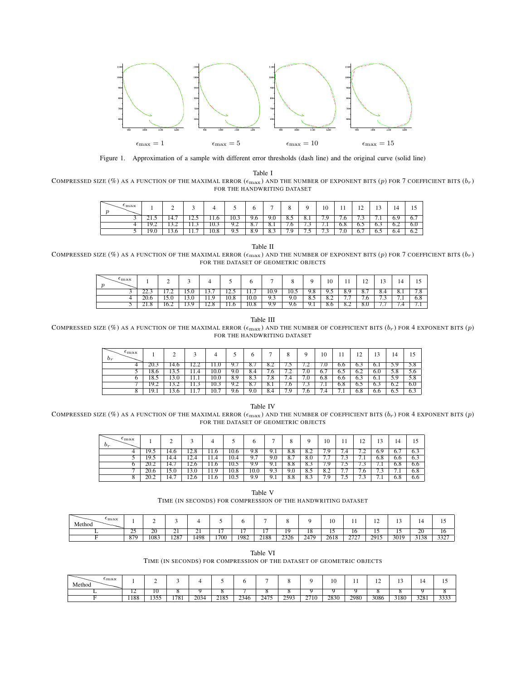

Figure 1. Approximation of a sample with different error thresholds (dash line) and the original curve (solid line)

Table I

COMPRESSED SIZE (%) AS A FUNCTION OF THE MAXIMAL ERROR ( $\epsilon_{\rm max}$ ) AND THE NUMBER OF EXPONENT BITS (p) FOR 7 COEFFICIENT BITS ( $b_r$ ) FOR THE HANDWRITING DATASET

| $max$ |       | $\sim$ |      |      |                          | υ         | -   | w   | u     | 10           | . . | $\sim$<br>$\overline{1}$ | $\sim$<br>1J | 14  | 1 ج<br>12      |
|-------|-------|--------|------|------|--------------------------|-----------|-----|-----|-------|--------------|-----|--------------------------|--------------|-----|----------------|
| ╯     | ن 1 ک | 14.7   | ى دە | 11.0 | 10.3                     | 9.6       | 9.0 | 0.5 | 0.1   | 7.9          | 7.0 | ر. ا                     | $\sqrt{1}$   | 6.9 | O <sub>r</sub> |
| ഺ     | 19.2  |        | 11.2 | 10.3 | $\overline{\phantom{a}}$ | $\circ$ . | 0.1 | 7.0 | د. ا  | $\sqrt{1.1}$ | 0.8 | 0.J                      | 6.3          | 0.2 | 6.0            |
| ◡     | 19.0  | 12.0   | 11.1 | 10.8 | ື<br>ر. د                | -u<br>0.5 | 0.5 | 7.9 | ر., ا | ر.,          | 7.U | 0.1                      | 6.5          | 0.4 | 0.2            |

Table II

COMPRESSED SIZE (%) AS A FUNCTION OF THE MAXIMAL ERROR ( $\epsilon_{\rm max}$ ) AND THE NUMBER OF EXPONENT BITS ( $p$ ) FOR 7 COEFFICIENT BITS ( $b_r$ ) FOR THE DATASET OF GEOMETRIC OBJECTS

| $\epsilon_{\rm max}$<br>$\mathbf r$ |           |                |      | ≖    |        |      | -          |      |                               | 10  | . .               | 1 <sub>2</sub><br>$\overline{1}$ | $\sim$<br>- 11 | 14                | -          |
|-------------------------------------|-----------|----------------|------|------|--------|------|------------|------|-------------------------------|-----|-------------------|----------------------------------|----------------|-------------------|------------|
|                                     | <u>__</u> | $\overline{1}$ | 15.V | 13.1 | ر. ۔ ۔ | 11.1 | 10.9       | 10.5 | У.О                           | フェコ | $\mathbf{O}$ .    | $\mathbf{o}$ .                   | O.5            | O.1               | 1.0        |
|                                     | 20.6      | 15.0           | 12.V | 11.9 | 10.8   | 10.0 | <b>2.J</b> | 9.0  | .oJ                           | 0.4 | $\cdot\cdot\cdot$ | 7. O                             | ر.,            | $\overline{1}$ .1 | v.o        |
|                                     | 21.0      | 16.2           |      | 12.0 | 11.0   | 10.8 | 9.9        | 9.6  | u<br>$\overline{\phantom{a}}$ | 0.0 | 0.4               | o.v                              | .              | 4. ا              | $\sqrt{1}$ |

Table III

COMPRESSED SIZE (%) AS A FUNCTION OF THE MAXIMAL ERROR ( $\epsilon_{\rm max}$ ) AND THE NUMBER OF COEFFICIENT BITS ( $b_r$ ) FOR 4 EXPONENT BITS ( $p$ ) FOR THE HANDWRITING DATASET

| $\epsilon_{\rm max}$<br>$v_r$ |      |       |                                       |      |                          |                |     |     | u                               | 10             |                    | 12<br>$\overline{1}$ | 15  | 14        | 15  |
|-------------------------------|------|-------|---------------------------------------|------|--------------------------|----------------|-----|-----|---------------------------------|----------------|--------------------|----------------------|-----|-----------|-----|
| 4                             | 20.3 | 14.0  | $1 \nightharpoonup . \nightharpoonup$ | 11.V | <b><i><u></u></i></b> ., | $\mathbf{o}$ . | O.A | ر., | $\overline{1}$ . $\overline{2}$ | 7.U            | 0.0                | 0.3                  | 0.1 | درد       | J.ŏ |
|                               | 18.6 | 15.5  | 11.4                                  | 10.0 | 9.U                      | δ.4            | 7.6 | ے ، | 7.0                             | O <sub>1</sub> | 6.0                | 0.2                  | 6.U | 0.د       | 5.6 |
| O                             | 18.5 | 13.0  | 11.1                                  | 10.0 | 0.5                      | o.J            | 7.8 | 7.4 | 7.0                             | 6.8            | 6.6                | 0.3                  | 0.1 | -c<br>درد | 5.8 |
|                               | 19.2 | 1.3.2 | 11.5                                  | 10.3 | . <i>.</i>               | $\mathsf{o}$ . | 0.1 | 7.6 | ر ،                             | $\sqrt{1}$     | 6.8                | 0.5                  | 0.3 | 6.2       | 6.0 |
| ŏ                             | 19.1 | 15.0  | 11.7                                  | 10.7 | 9.0                      | 9.U            | 0.4 | 7.9 | 7.0                             | 7.4            | $\overline{1}$ . 1 | 0.8                  | 0.0 | 0.2       | 0.3 |

Table IV

COMPRESSED SIZE (%) AS A FUNCTION OF THE MAXIMAL ERROR ( $\epsilon_{\rm max}$ ) AND THE NUMBER OF COEFFICIENT BITS ( $b_r$ ) FOR 4 EXPONENT BITS ( $p$ ) FOR THE DATASET OF GEOMETRIC OBJECTS

| $c_{\max}$<br>$b_r$ |      |      |      |      |      | o    |      |           |     | 10              | 11      | 12               | 13         | 14         | 15  |
|---------------------|------|------|------|------|------|------|------|-----------|-----|-----------------|---------|------------------|------------|------------|-----|
| 4                   | 19.5 | 14.0 | 14.0 | 11.0 | 10.6 | 9.8  | 9.1  | ð.ð       | 0.4 | 7.9             | 1.4     | $\overline{1}$ . | 6.9        | $O_{11}$   | 0.3 |
| ◡                   | 19.5 | 14.4 | 12.4 | 11.4 | 10.4 | 9.7  | 9.0  | $\circ$ . | 8.0 | 1.1             | ن ر     | $\sqrt{1}$       | 6.8        | 6.6        | 0.3 |
| υ                   | 20.2 | 14.7 | 12.6 | 11.6 | 10.5 | 9.9  | -2.1 | 8.8       | δ.3 | .9 <sub>1</sub> | ن ر     | ن ر              | $\sqrt{1}$ | 6.8        | 6.6 |
|                     | 20.6 | 19.U | 13.0 | 11.9 | 10.8 | 10.0 | ر. ر | 9.0       | 8.J | ð.Z             | $\cdot$ | 7.0              | ر ر        | $\sqrt{1}$ | 6.8 |
| $\circ$             | 20.2 | 14.7 | 12.6 | 11.6 | 10.J | 9.9  | -2.1 | 8.8       | δ.3 | 7.9             | ن ر     | ن ر              | $\sqrt{1}$ | 6.8        | 6.6 |

Table V TIME (IN SECONDS) FOR COMPRESSION OF THE HANDWRITING DATASET

| $c_{\max}$<br>Method |     | ∼        |      |          |               |      |      |          |                  | $\sim$<br>$\overline{1}$ | . .                        | $\sim$<br>$\overline{1}$ | . .        | 14          | $\sim$                           |
|----------------------|-----|----------|------|----------|---------------|------|------|----------|------------------|--------------------------|----------------------------|--------------------------|------------|-------------|----------------------------------|
|                      | رے  | ΩΩ<br>ZU | $-1$ | $\sim$ 1 |               |      |      | u<br>. . | 18               | . .                      |                            |                          | . .        | 20          | -10                              |
|                      | 879 | 1083     | 1287 | 1498     | 700<br>$\sim$ | 1982 | 2188 | 2326     | 247 <sup>°</sup> | 2618                     | $\sqrt{1}$<br><u>_ 1 _</u> | $\gamma_0$<br>ر د ر پ    | 301<br>JUL | 120<br>3138 | $\overline{\phantom{a}}$<br>ے در |

| 870<br>O <sub>L</sub> | 1083                     | 1287 | .498 | .700 | 1982 | 2188                           | 222<br>326<br>ں ے ت | 247C<br>2479 | 2618 | 2727<br><u>_</u> | 201<br>27 L J | 3019 | $1 \cap C$<br>,,,, | 222<br>ا عدد |
|-----------------------|--------------------------|------|------|------|------|--------------------------------|---------------------|--------------|------|------------------|---------------|------|--------------------|--------------|
|                       |                          |      |      |      |      |                                |                     |              |      |                  |               |      |                    |              |
|                       |                          |      |      |      |      | V <sub>1</sub><br>Table<br>. . |                     |              |      |                  |               |      |                    |              |
|                       | $\overline{\phantom{a}}$ |      |      |      |      |                                |                     |              |      |                  |               |      |                    |              |

TIME (IN SECONDS) FOR COMPRESSION OF THE DATASET OF GEOMETRIC OBJECTS

| $\epsilon_{\max}$<br>Method |                | -                  |      | ے    |      |      |      |             |                                  | 10   | . .  | . .  | . .<br>. .<br>$\sim$ | . .  |                                             |
|-----------------------------|----------------|--------------------|------|------|------|------|------|-------------|----------------------------------|------|------|------|----------------------|------|---------------------------------------------|
| <b>.</b>                    | $\overline{1}$ | 10                 |      |      |      |      |      |             |                                  |      |      |      |                      |      |                                             |
|                             | 1188           | 25<br>1 <i>333</i> | 1781 | 2034 | 2185 | 2346 | 2475 | วรด<br>ر رے | $\overline{\phantom{1}}$<br>2710 | 2830 | 2980 | 3086 | 3180                 | 3281 | $\overline{\phantom{a}}$<br><br><u>JJJJ</u> |